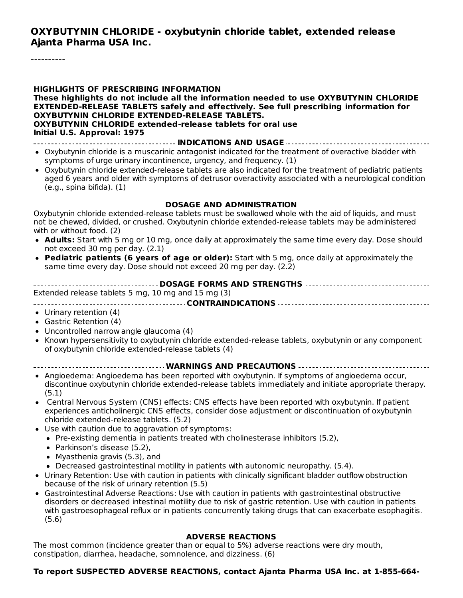**OXYBUTYNIN CHLORIDE - oxybutynin chloride tablet, extended release Ajanta Pharma USA Inc.**

----------

| <b>HIGHLIGHTS OF PRESCRIBING INFORMATION</b><br>These highlights do not include all the information needed to use OXYBUTYNIN CHLORIDE<br>EXTENDED-RELEASE TABLETS safely and effectively. See full prescribing information for<br>OXYBUTYNIN CHLORIDE EXTENDED-RELEASE TABLETS.<br><b>OXYBUTYNIN CHLORIDE extended-release tablets for oral use</b><br>Initial U.S. Approval: 1975 |
|------------------------------------------------------------------------------------------------------------------------------------------------------------------------------------------------------------------------------------------------------------------------------------------------------------------------------------------------------------------------------------|
| • Oxybutynin chloride is a muscarinic antagonist indicated for the treatment of overactive bladder with                                                                                                                                                                                                                                                                            |
| symptoms of urge urinary incontinence, urgency, and frequency. (1)                                                                                                                                                                                                                                                                                                                 |
| • Oxybutynin chloride extended-release tablets are also indicated for the treatment of pediatric patients<br>aged 6 years and older with symptoms of detrusor overactivity associated with a neurological condition<br>$(e.g.,$ spina bifida). $(1)$                                                                                                                               |
| DOSAGE AND ADMINISTRATION                                                                                                                                                                                                                                                                                                                                                          |
| Oxybutynin chloride extended-release tablets must be swallowed whole with the aid of liquids, and must<br>not be chewed, divided, or crushed. Oxybutynin chloride extended-release tablets may be administered<br>with or without food. (2)                                                                                                                                        |
| • Adults: Start with 5 mg or 10 mg, once daily at approximately the same time every day. Dose should<br>not exceed 30 mg per day. (2.1)                                                                                                                                                                                                                                            |
| • Pediatric patients (6 years of age or older): Start with 5 mg, once daily at approximately the<br>same time every day. Dose should not exceed 20 mg per day. (2.2)                                                                                                                                                                                                               |
| DOSAGE FORMS AND STRENGTHS<br>Extended release tablets 5 mg, 10 mg and 15 mg (3)                                                                                                                                                                                                                                                                                                   |
| • Urinary retention (4)                                                                                                                                                                                                                                                                                                                                                            |
| • Gastric Retention (4)                                                                                                                                                                                                                                                                                                                                                            |
| Uncontrolled narrow angle glaucoma (4)                                                                                                                                                                                                                                                                                                                                             |
| Known hypersensitivity to oxybutynin chloride extended-release tablets, oxybutynin or any component<br>٠<br>of oxybutynin chloride extended-release tablets (4)                                                                                                                                                                                                                    |
| WARNINGS AND PRECAUTIONS                                                                                                                                                                                                                                                                                                                                                           |
| • Angioedema: Angioedema has been reported with oxybutynin. If symptoms of angioedema occur,<br>discontinue oxybutynin chloride extended-release tablets immediately and initiate appropriate therapy.<br>(5.1)                                                                                                                                                                    |
| Central Nervous System (CNS) effects: CNS effects have been reported with oxybutynin. If patient<br>experiences anticholinergic CNS effects, consider dose adjustment or discontinuation of oxybutynin                                                                                                                                                                             |
| chloride extended-release tablets. (5.2)                                                                                                                                                                                                                                                                                                                                           |
| • Use with caution due to aggravation of symptoms:<br>• Pre-existing dementia in patients treated with cholinesterase inhibitors (5.2),                                                                                                                                                                                                                                            |
| Parkinson's disease (5.2),                                                                                                                                                                                                                                                                                                                                                         |
| Myasthenia gravis (5.3), and                                                                                                                                                                                                                                                                                                                                                       |
| • Decreased gastrointestinal motility in patients with autonomic neuropathy. (5.4).                                                                                                                                                                                                                                                                                                |
| • Urinary Retention: Use with caution in patients with clinically significant bladder outflow obstruction<br>because of the risk of urinary retention (5.5)                                                                                                                                                                                                                        |
| • Gastrointestinal Adverse Reactions: Use with caution in patients with gastrointestinal obstructive<br>disorders or decreased intestinal motility due to risk of gastric retention. Use with caution in patients<br>with gastroesophageal reflux or in patients concurrently taking drugs that can exacerbate esophagitis.<br>(5.6)                                               |
| ------------------------------------ ADVERSE REACTIONS ------------------------------                                                                                                                                                                                                                                                                                              |
| The most common (incidence greater than or equal to 5%) adverse reactions were dry mouth.                                                                                                                                                                                                                                                                                          |

The most common (incidence greater than or equal to 5%) adverse reactions were dry mouth, constipation, diarrhea, headache, somnolence, and dizziness. (6)

#### **To report SUSPECTED ADVERSE REACTIONS, contact Ajanta Pharma USA Inc. at 1-855-664-**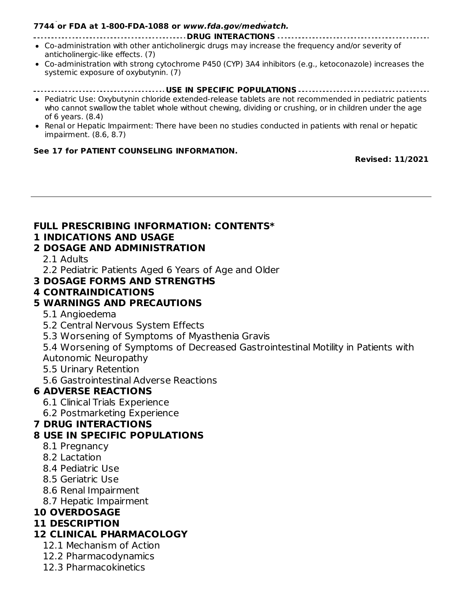#### **To report SUSPECTED ADVERSE REACTIONS, contact Ajanta Pharma USA Inc. at 1-855-664- 7744 or FDA at 1-800-FDA-1088 or www.fda.gov/medwatch.**

- **DRUG INTERACTIONS** Co-administration with other anticholinergic drugs may increase the frequency and/or severity of anticholinergic-like effects. (7)
- Co-administration with strong cytochrome P450 (CYP) 3A4 inhibitors (e.g., ketoconazole) increases the systemic exposure of oxybutynin. (7)
- **USE IN SPECIFIC POPULATIONS**
- Pediatric Use: Oxybutynin chloride extended-release tablets are not recommended in pediatric patients who cannot swallow the tablet whole without chewing, dividing or crushing, or in children under the age of 6 years. (8.4)
- Renal or Hepatic Impairment: There have been no studies conducted in patients with renal or hepatic impairment. (8.6, 8.7)

#### **See 17 for PATIENT COUNSELING INFORMATION.**

**Revised: 11/2021**

#### **FULL PRESCRIBING INFORMATION: CONTENTS\***

#### **1 INDICATIONS AND USAGE**

#### **2 DOSAGE AND ADMINISTRATION**

2.1 Adults

2.2 Pediatric Patients Aged 6 Years of Age and Older

**3 DOSAGE FORMS AND STRENGTHS**

#### **4 CONTRAINDICATIONS**

#### **5 WARNINGS AND PRECAUTIONS**

- 5.1 Angioedema
- 5.2 Central Nervous System Effects

5.3 Worsening of Symptoms of Myasthenia Gravis

5.4 Worsening of Symptoms of Decreased Gastrointestinal Motility in Patients with Autonomic Neuropathy

- 5.5 Urinary Retention
- 5.6 Gastrointestinal Adverse Reactions

### **6 ADVERSE REACTIONS**

- 6.1 Clinical Trials Experience
- 6.2 Postmarketing Experience

### **7 DRUG INTERACTIONS**

#### **8 USE IN SPECIFIC POPULATIONS**

- 8.1 Pregnancy
- 8.2 Lactation
- 8.4 Pediatric Use
- 8.5 Geriatric Use
- 8.6 Renal Impairment
- 8.7 Hepatic Impairment

### **10 OVERDOSAGE**

### **11 DESCRIPTION**

### **12 CLINICAL PHARMACOLOGY**

- 12.1 Mechanism of Action
- 12.2 Pharmacodynamics
- 12.3 Pharmacokinetics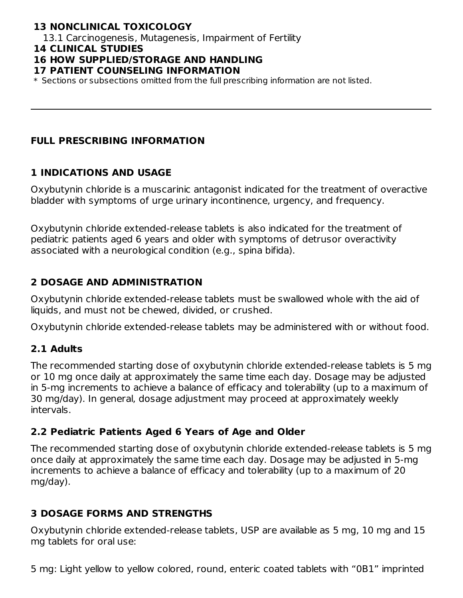# **13 NONCLINICAL TOXICOLOGY**

13.1 Carcinogenesis, Mutagenesis, Impairment of Fertility

#### **14 CLINICAL STUDIES**

#### **16 HOW SUPPLIED/STORAGE AND HANDLING**

#### **17 PATIENT COUNSELING INFORMATION**

\* Sections or subsections omitted from the full prescribing information are not listed.

#### **FULL PRESCRIBING INFORMATION**

#### **1 INDICATIONS AND USAGE**

Oxybutynin chloride is a muscarinic antagonist indicated for the treatment of overactive bladder with symptoms of urge urinary incontinence, urgency, and frequency.

Oxybutynin chloride extended-release tablets is also indicated for the treatment of pediatric patients aged 6 years and older with symptoms of detrusor overactivity associated with a neurological condition (e.g., spina bifida).

### **2 DOSAGE AND ADMINISTRATION**

Oxybutynin chloride extended-release tablets must be swallowed whole with the aid of liquids, and must not be chewed, divided, or crushed.

Oxybutynin chloride extended-release tablets may be administered with or without food.

### **2.1 Adults**

The recommended starting dose of oxybutynin chloride extended-release tablets is 5 mg or 10 mg once daily at approximately the same time each day. Dosage may be adjusted in 5-mg increments to achieve a balance of efficacy and tolerability (up to a maximum of 30 mg/day). In general, dosage adjustment may proceed at approximately weekly intervals.

### **2.2 Pediatric Patients Aged 6 Years of Age and Older**

The recommended starting dose of oxybutynin chloride extended-release tablets is 5 mg once daily at approximately the same time each day. Dosage may be adjusted in 5-mg increments to achieve a balance of efficacy and tolerability (up to a maximum of 20 mg/day).

# **3 DOSAGE FORMS AND STRENGTHS**

Oxybutynin chloride extended-release tablets, USP are available as 5 mg, 10 mg and 15 mg tablets for oral use:

5 mg: Light yellow to yellow colored, round, enteric coated tablets with "0B1" imprinted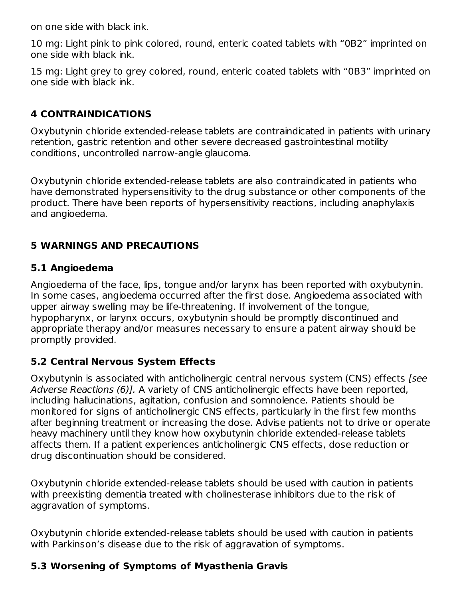on one side with black ink.

10 mg: Light pink to pink colored, round, enteric coated tablets with "0B2" imprinted on one side with black ink.

15 mg: Light grey to grey colored, round, enteric coated tablets with "0B3" imprinted on one side with black ink.

# **4 CONTRAINDICATIONS**

Oxybutynin chloride extended-release tablets are contraindicated in patients with urinary retention, gastric retention and other severe decreased gastrointestinal motility conditions, uncontrolled narrow-angle glaucoma.

Oxybutynin chloride extended-release tablets are also contraindicated in patients who have demonstrated hypersensitivity to the drug substance or other components of the product. There have been reports of hypersensitivity reactions, including anaphylaxis and angioedema.

# **5 WARNINGS AND PRECAUTIONS**

# **5.1 Angioedema**

Angioedema of the face, lips, tongue and/or larynx has been reported with oxybutynin. In some cases, angioedema occurred after the first dose. Angioedema associated with upper airway swelling may be life-threatening. If involvement of the tongue, hypopharynx, or larynx occurs, oxybutynin should be promptly discontinued and appropriate therapy and/or measures necessary to ensure a patent airway should be promptly provided.

# **5.2 Central Nervous System Effects**

Oxybutynin is associated with anticholinergic central nervous system (CNS) effects [see Adverse Reactions (6)]. A variety of CNS anticholinergic effects have been reported, including hallucinations, agitation, confusion and somnolence. Patients should be monitored for signs of anticholinergic CNS effects, particularly in the first few months after beginning treatment or increasing the dose. Advise patients not to drive or operate heavy machinery until they know how oxybutynin chloride extended-release tablets affects them. If a patient experiences anticholinergic CNS effects, dose reduction or drug discontinuation should be considered.

Oxybutynin chloride extended-release tablets should be used with caution in patients with preexisting dementia treated with cholinesterase inhibitors due to the risk of aggravation of symptoms.

Oxybutynin chloride extended-release tablets should be used with caution in patients with Parkinson's disease due to the risk of aggravation of symptoms.

# **5.3 Worsening of Symptoms of Myasthenia Gravis**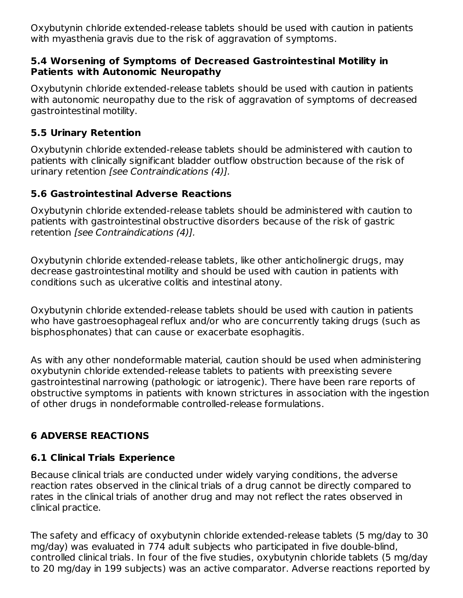Oxybutynin chloride extended-release tablets should be used with caution in patients with myasthenia gravis due to the risk of aggravation of symptoms.

## **5.4 Worsening of Symptoms of Decreased Gastrointestinal Motility in Patients with Autonomic Neuropathy**

Oxybutynin chloride extended-release tablets should be used with caution in patients with autonomic neuropathy due to the risk of aggravation of symptoms of decreased gastrointestinal motility.

# **5.5 Urinary Retention**

Oxybutynin chloride extended-release tablets should be administered with caution to patients with clinically significant bladder outflow obstruction because of the risk of urinary retention [see Contraindications (4)].

# **5.6 Gastrointestinal Adverse Reactions**

Oxybutynin chloride extended-release tablets should be administered with caution to patients with gastrointestinal obstructive disorders because of the risk of gastric retention [see Contraindications (4)].

Oxybutynin chloride extended-release tablets, like other anticholinergic drugs, may decrease gastrointestinal motility and should be used with caution in patients with conditions such as ulcerative colitis and intestinal atony.

Oxybutynin chloride extended-release tablets should be used with caution in patients who have gastroesophageal reflux and/or who are concurrently taking drugs (such as bisphosphonates) that can cause or exacerbate esophagitis.

As with any other nondeformable material, caution should be used when administering oxybutynin chloride extended-release tablets to patients with preexisting severe gastrointestinal narrowing (pathologic or iatrogenic). There have been rare reports of obstructive symptoms in patients with known strictures in association with the ingestion of other drugs in nondeformable controlled-release formulations.

# **6 ADVERSE REACTIONS**

# **6.1 Clinical Trials Experience**

Because clinical trials are conducted under widely varying conditions, the adverse reaction rates observed in the clinical trials of a drug cannot be directly compared to rates in the clinical trials of another drug and may not reflect the rates observed in clinical practice.

The safety and efficacy of oxybutynin chloride extended-release tablets (5 mg/day to 30 mg/day) was evaluated in 774 adult subjects who participated in five double-blind, controlled clinical trials. In four of the five studies, oxybutynin chloride tablets (5 mg/day to 20 mg/day in 199 subjects) was an active comparator. Adverse reactions reported by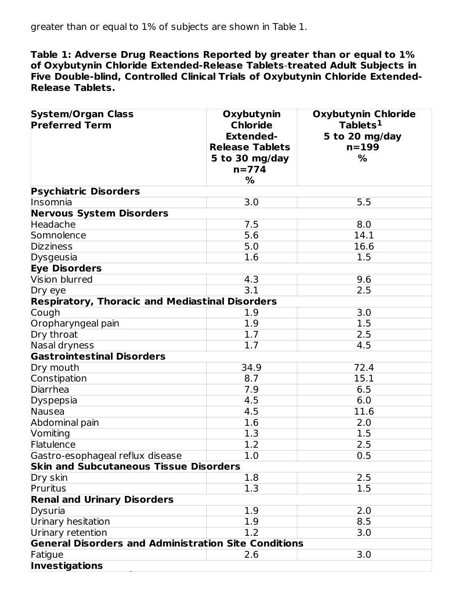**Table 1: Adverse Drug Reactions Reported by greater than or equal to 1% of Oxybutynin Chloride Extended-Release Tablets**-**treated Adult Subjects in Five Double-blind, Controlled Clinical Trials of Oxybutynin Chloride Extended-Release Tablets.**

| <b>System/Organ Class</b><br><b>Preferred Term</b>          | Oxybutynin<br><b>Chloride</b><br><b>Extended-</b><br><b>Release Tablets</b><br>5 to 30 mg/day<br>$n = 774$<br>% | <b>Oxybutynin Chloride</b><br>Tablets <sup>1</sup><br>5 to 20 mg/day<br>$n = 199$<br>% |
|-------------------------------------------------------------|-----------------------------------------------------------------------------------------------------------------|----------------------------------------------------------------------------------------|
| <b>Psychiatric Disorders</b>                                |                                                                                                                 |                                                                                        |
| Insomnia                                                    | 3.0                                                                                                             | 5.5                                                                                    |
| <b>Nervous System Disorders</b>                             |                                                                                                                 |                                                                                        |
| Headache                                                    | 7.5                                                                                                             | 8.0                                                                                    |
| Somnolence                                                  | 5.6                                                                                                             | 14.1                                                                                   |
| <b>Dizziness</b>                                            | 5.0                                                                                                             | 16.6                                                                                   |
| Dysgeusia                                                   | 1.6                                                                                                             | 1.5                                                                                    |
| <b>Eye Disorders</b>                                        |                                                                                                                 |                                                                                        |
| Vision blurred                                              | 4.3                                                                                                             | 9.6                                                                                    |
| Dry eye                                                     | 3.1                                                                                                             | 2.5                                                                                    |
| <b>Respiratory, Thoracic and Mediastinal Disorders</b>      |                                                                                                                 |                                                                                        |
| Cough                                                       | 1.9                                                                                                             | 3.0                                                                                    |
| Oropharyngeal pain                                          | 1.9                                                                                                             | 1.5                                                                                    |
| Dry throat                                                  | 1.7                                                                                                             | 2.5                                                                                    |
| Nasal dryness                                               | 1.7                                                                                                             | 4.5                                                                                    |
| <b>Gastrointestinal Disorders</b>                           |                                                                                                                 |                                                                                        |
| Dry mouth                                                   | 34.9                                                                                                            | 72.4                                                                                   |
| Constipation                                                | 8.7                                                                                                             | 15.1                                                                                   |
| Diarrhea                                                    | 7.9                                                                                                             | 6.5                                                                                    |
| Dyspepsia                                                   | 4.5                                                                                                             | 6.0                                                                                    |
| Nausea                                                      | 4.5                                                                                                             | 11.6                                                                                   |
| Abdominal pain                                              | 1.6                                                                                                             | 2.0                                                                                    |
| Vomiting                                                    | 1.3                                                                                                             | 1.5                                                                                    |
| Flatulence                                                  | 1.2                                                                                                             | 2.5                                                                                    |
| Gastro-esophageal reflux disease                            | 1.0                                                                                                             | 0.5                                                                                    |
| <b>Skin and Subcutaneous Tissue Disorders</b>               |                                                                                                                 |                                                                                        |
| Dry skin                                                    | 1.8                                                                                                             | 2.5                                                                                    |
| Pruritus                                                    | 1.3                                                                                                             | 1.5                                                                                    |
| <b>Renal and Urinary Disorders</b>                          |                                                                                                                 |                                                                                        |
| Dysuria                                                     | 1.9                                                                                                             | 2.0                                                                                    |
| Urinary hesitation                                          | 1.9                                                                                                             | 8.5                                                                                    |
| Urinary retention                                           | 1.2                                                                                                             | 3.0                                                                                    |
| <b>General Disorders and Administration Site Conditions</b> |                                                                                                                 |                                                                                        |
| Fatigue                                                     | 2.6                                                                                                             | 3.0                                                                                    |
| <b>Investigations</b>                                       |                                                                                                                 |                                                                                        |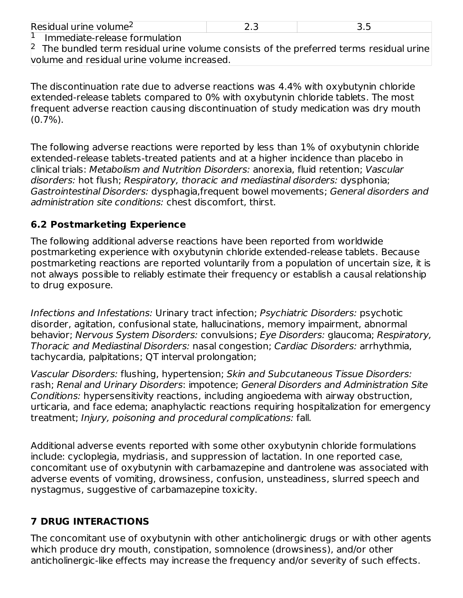| Resio<br>.<br>∸⇔נו חב<br>∼ | - |  |
|----------------------------|---|--|
| $\mathbf{r}$               |   |  |

Immediate-release formulation 1

 $2$  The bundled term residual urine volume consists of the preferred terms residual urine volume and residual urine volume increased.

The discontinuation rate due to adverse reactions was 4.4% with oxybutynin chloride extended-release tablets compared to 0% with oxybutynin chloride tablets. The most frequent adverse reaction causing discontinuation of study medication was dry mouth (0.7%).

The following adverse reactions were reported by less than 1% of oxybutynin chloride extended-release tablets-treated patients and at a higher incidence than placebo in clinical trials: Metabolism and Nutrition Disorders: anorexia, fluid retention; Vascular disorders: hot flush; Respiratory, thoracic and mediastinal disorders: dysphonia; Gastrointestinal Disorders: dysphagia,frequent bowel movements; General disorders and administration site conditions: chest discomfort, thirst.

# **6.2 Postmarketing Experience**

The following additional adverse reactions have been reported from worldwide postmarketing experience with oxybutynin chloride extended-release tablets. Because postmarketing reactions are reported voluntarily from a population of uncertain size, it is not always possible to reliably estimate their frequency or establish a causal relationship to drug exposure.

Infections and Infestations: Urinary tract infection; Psychiatric Disorders: psychotic disorder, agitation, confusional state, hallucinations, memory impairment, abnormal behavior; Nervous System Disorders: convulsions; Eye Disorders: glaucoma; Respiratory, Thoracic and Mediastinal Disorders: nasal congestion; Cardiac Disorders: arrhythmia, tachycardia, palpitations; QT interval prolongation;

Vascular Disorders: flushing, hypertension; Skin and Subcutaneous Tissue Disorders: rash; Renal and Urinary Disorders: impotence; General Disorders and Administration Site Conditions: hypersensitivity reactions, including angioedema with airway obstruction, urticaria, and face edema; anaphylactic reactions requiring hospitalization for emergency treatment; Injury, poisoning and procedural complications: fall.

Additional adverse events reported with some other oxybutynin chloride formulations include: cycloplegia, mydriasis, and suppression of lactation. In one reported case, concomitant use of oxybutynin with carbamazepine and dantrolene was associated with adverse events of vomiting, drowsiness, confusion, unsteadiness, slurred speech and nystagmus, suggestive of carbamazepine toxicity.

# **7 DRUG INTERACTIONS**

The concomitant use of oxybutynin with other anticholinergic drugs or with other agents which produce dry mouth, constipation, somnolence (drowsiness), and/or other anticholinergic-like effects may increase the frequency and/or severity of such effects.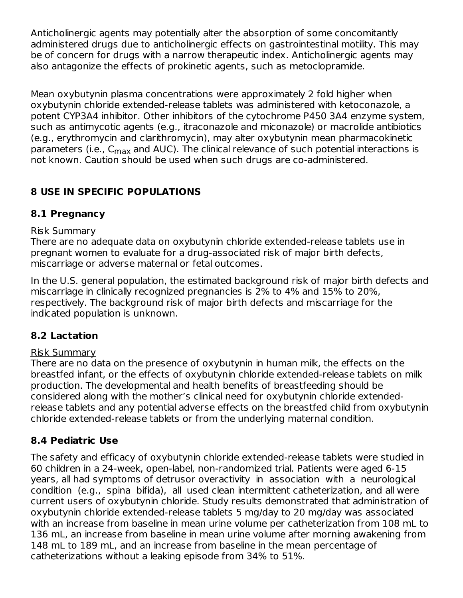Anticholinergic agents may potentially alter the absorption of some concomitantly administered drugs due to anticholinergic effects on gastrointestinal motility. This may be of concern for drugs with a narrow therapeutic index. Anticholinergic agents may also antagonize the effects of prokinetic agents, such as metoclopramide.

Mean oxybutynin plasma concentrations were approximately 2 fold higher when oxybutynin chloride extended-release tablets was administered with ketoconazole, a potent CYP3A4 inhibitor. Other inhibitors of the cytochrome P450 3A4 enzyme system, such as antimycotic agents (e.g., itraconazole and miconazole) or macrolide antibiotics (e.g., erythromycin and clarithromycin), may alter oxybutynin mean pharmacokinetic parameters (i.e., C<sub>max</sub> and AUC). The clinical relevance of such potential interactions is not known. Caution should be used when such drugs are co-administered.

# **8 USE IN SPECIFIC POPULATIONS**

# **8.1 Pregnancy**

# Risk Summary

There are no adequate data on oxybutynin chloride extended-release tablets use in pregnant women to evaluate for a drug-associated risk of major birth defects, miscarriage or adverse maternal or fetal outcomes.

In the U.S. general population, the estimated background risk of major birth defects and miscarriage in clinically recognized pregnancies is 2% to 4% and 15% to 20%, respectively. The background risk of major birth defects and miscarriage for the indicated population is unknown.

# **8.2 Lactation**

# Risk Summary

There are no data on the presence of oxybutynin in human milk, the effects on the breastfed infant, or the effects of oxybutynin chloride extended-release tablets on milk production. The developmental and health benefits of breastfeeding should be considered along with the mother's clinical need for oxybutynin chloride extendedrelease tablets and any potential adverse effects on the breastfed child from oxybutynin chloride extended-release tablets or from the underlying maternal condition.

# **8.4 Pediatric Use**

The safety and efficacy of oxybutynin chloride extended-release tablets were studied in 60 children in a 24-week, open-label, non-randomized trial. Patients were aged 6-15 years, all had symptoms of detrusor overactivity in association with a neurological condition (e.g., spina bifida), all used clean intermittent catheterization, and all were current users of oxybutynin chloride. Study results demonstrated that administration of oxybutynin chloride extended-release tablets 5 mg/day to 20 mg/day was associated with an increase from baseline in mean urine volume per catheterization from 108 mL to 136 mL, an increase from baseline in mean urine volume after morning awakening from 148 mL to 189 mL, and an increase from baseline in the mean percentage of catheterizations without a leaking episode from 34% to 51%.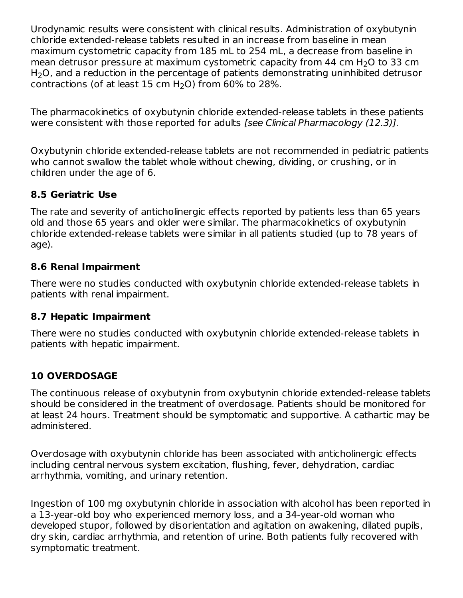Urodynamic results were consistent with clinical results. Administration of oxybutynin chloride extended-release tablets resulted in an increase from baseline in mean maximum cystometric capacity from 185 mL to 254 mL, a decrease from baseline in mean detrusor pressure at maximum cystometric capacity from 44 cm  $H_2O$  to 33 cm  $H_2O$ , and a reduction in the percentage of patients demonstrating uninhibited detrusor contractions (of at least  $15$  cm H<sub>2</sub>O) from  $60\%$  to 28%.

The pharmacokinetics of oxybutynin chloride extended-release tablets in these patients were consistent with those reported for adults [see Clinical Pharmacology (12.3)].

Oxybutynin chloride extended-release tablets are not recommended in pediatric patients who cannot swallow the tablet whole without chewing, dividing, or crushing, or in children under the age of 6.

# **8.5 Geriatric Use**

The rate and severity of anticholinergic effects reported by patients less than 65 years old and those 65 years and older were similar. The pharmacokinetics of oxybutynin chloride extended-release tablets were similar in all patients studied (up to 78 years of age).

# **8.6 Renal Impairment**

There were no studies conducted with oxybutynin chloride extended-release tablets in patients with renal impairment.

# **8.7 Hepatic Impairment**

There were no studies conducted with oxybutynin chloride extended-release tablets in patients with hepatic impairment.

# **10 OVERDOSAGE**

The continuous release of oxybutynin from oxybutynin chloride extended-release tablets should be considered in the treatment of overdosage. Patients should be monitored for at least 24 hours. Treatment should be symptomatic and supportive. A cathartic may be administered.

Overdosage with oxybutynin chloride has been associated with anticholinergic effects including central nervous system excitation, flushing, fever, dehydration, cardiac arrhythmia, vomiting, and urinary retention.

Ingestion of 100 mg oxybutynin chloride in association with alcohol has been reported in a 13-year-old boy who experienced memory loss, and a 34-year-old woman who developed stupor, followed by disorientation and agitation on awakening, dilated pupils, dry skin, cardiac arrhythmia, and retention of urine. Both patients fully recovered with symptomatic treatment.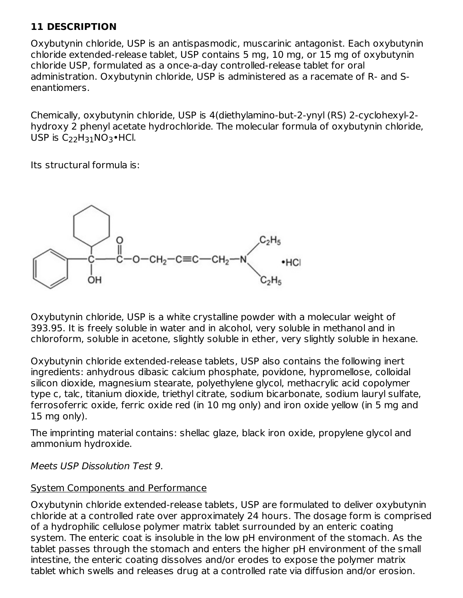# **11 DESCRIPTION**

Oxybutynin chloride, USP is an antispasmodic, muscarinic antagonist. Each oxybutynin chloride extended-release tablet, USP contains 5 mg, 10 mg, or 15 mg of oxybutynin chloride USP, formulated as a once-a-day controlled-release tablet for oral administration. Oxybutynin chloride, USP is administered as a racemate of R- and Senantiomers.

Chemically, oxybutynin chloride, USP is 4(diethylamino-but-2-ynyl (RS) 2-cyclohexyl-2 hydroxy 2 phenyl acetate hydrochloride. The molecular formula of oxybutynin chloride, USP is  $C_{22}H_{31}NO_3\bullet$ HCl.

Its structural formula is:



Oxybutynin chloride, USP is a white crystalline powder with a molecular weight of 393.95. It is freely soluble in water and in alcohol, very soluble in methanol and in chloroform, soluble in acetone, slightly soluble in ether, very slightly soluble in hexane.

Oxybutynin chloride extended-release tablets, USP also contains the following inert ingredients: anhydrous dibasic calcium phosphate, povidone, hypromellose, colloidal silicon dioxide, magnesium stearate, polyethylene glycol, methacrylic acid copolymer type c, talc, titanium dioxide, triethyl citrate, sodium bicarbonate, sodium lauryl sulfate, ferrosoferric oxide, ferric oxide red (in 10 mg only) and iron oxide yellow (in 5 mg and 15 mg only).

The imprinting material contains: shellac glaze, black iron oxide, propylene glycol and ammonium hydroxide.

Meets USP Dissolution Test 9.

### System Components and Performance

Oxybutynin chloride extended-release tablets, USP are formulated to deliver oxybutynin chloride at a controlled rate over approximately 24 hours. The dosage form is comprised of a hydrophilic cellulose polymer matrix tablet surrounded by an enteric coating system. The enteric coat is insoluble in the low pH environment of the stomach. As the tablet passes through the stomach and enters the higher pH environment of the small intestine, the enteric coating dissolves and/or erodes to expose the polymer matrix tablet which swells and releases drug at a controlled rate via diffusion and/or erosion.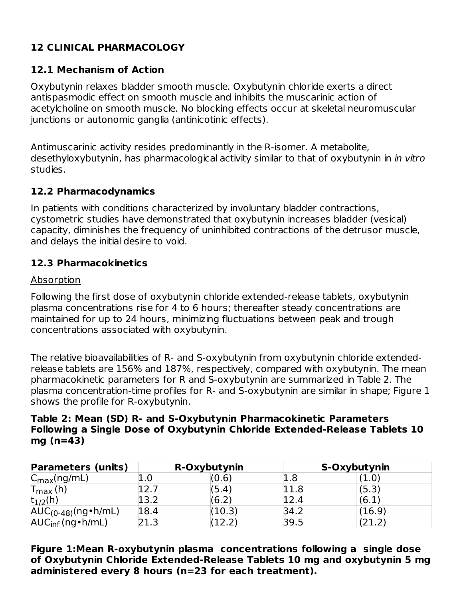# **12 CLINICAL PHARMACOLOGY**

# **12.1 Mechanism of Action**

Oxybutynin relaxes bladder smooth muscle. Oxybutynin chloride exerts a direct antispasmodic effect on smooth muscle and inhibits the muscarinic action of acetylcholine on smooth muscle. No blocking effects occur at skeletal neuromuscular junctions or autonomic ganglia (antinicotinic effects).

Antimuscarinic activity resides predominantly in the R-isomer. A metabolite, desethyloxybutynin, has pharmacological activity similar to that of oxybutynin in *in vitro* studies.

### **12.2 Pharmacodynamics**

In patients with conditions characterized by involuntary bladder contractions, cystometric studies have demonstrated that oxybutynin increases bladder (vesical) capacity, diminishes the frequency of uninhibited contractions of the detrusor muscle, and delays the initial desire to void.

# **12.3 Pharmacokinetics**

#### **Absorption**

Following the first dose of oxybutynin chloride extended-release tablets, oxybutynin plasma concentrations rise for 4 to 6 hours; thereafter steady concentrations are maintained for up to 24 hours, minimizing fluctuations between peak and trough concentrations associated with oxybutynin.

The relative bioavailabilities of R- and S-oxybutynin from oxybutynin chloride extendedrelease tablets are 156% and 187%, respectively, compared with oxybutynin. The mean pharmacokinetic parameters for R and S-oxybutynin are summarized in Table 2. The plasma concentration-time profiles for R- and S-oxybutynin are similar in shape; Figure 1 shows the profile for R-oxybutynin.

#### **Table 2: Mean (SD) R- and S-Oxybutynin Pharmacokinetic Parameters Following a Single Dose of Oxybutynin Chloride Extended-Release Tablets 10 mg (n=43)**

| <b>Parameters (units)</b>    |             | R-Oxybutynin        | S-Oxybutynin |        |
|------------------------------|-------------|---------------------|--------------|--------|
| $C_{\text{max}}(ng/mL)$      |             | (0.6)               | 1.8          | (1.0)  |
| $T_{\text{max}}$ (h)         |             | (5.4)               | 11.8         | (5.3)  |
| $t_{1/2}$ (h)                | <u>!3.2</u> | (6.2)               | l2.4         | (6.1)  |
| $AUC_{(0-48)}(ng\cdot h/mL)$ | 18.4        | $\left(10.3\right)$ | 34.2         | (16.9) |
| $AUC_{inf}$ (ng • h/mL)      |             | 12.2                | 39.5         |        |

**Figure 1:Mean R-oxybutynin plasma concentrations following a single dose of Oxybutynin Chloride Extended-Release Tablets 10 mg and oxybutynin 5 mg administered every 8 hours (n=23 for each treatment).**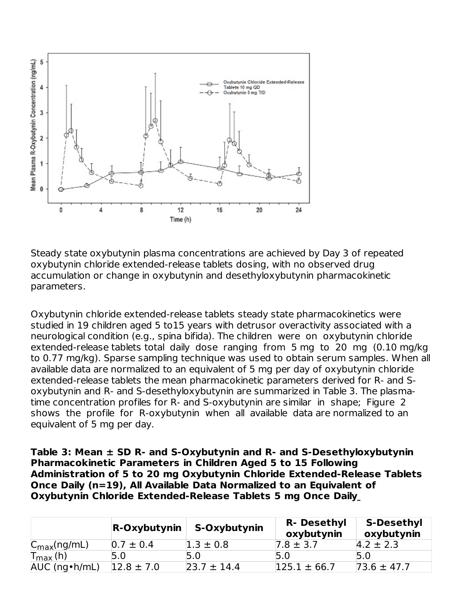

Steady state oxybutynin plasma concentrations are achieved by Day 3 of repeated oxybutynin chloride extended-release tablets dosing, with no observed drug accumulation or change in oxybutynin and desethyloxybutynin pharmacokinetic parameters.

Oxybutynin chloride extended-release tablets steady state pharmacokinetics were studied in 19 children aged 5 to15 years with detrusor overactivity associated with a neurological condition (e.g., spina bifida). The children were on oxybutynin chloride extended-release tablets total daily dose ranging from 5 mg to 20 mg (0.10 mg/kg to 0.77 mg/kg). Sparse sampling technique was used to obtain serum samples. When all available data are normalized to an equivalent of 5 mg per day of oxybutynin chloride extended-release tablets the mean pharmacokinetic parameters derived for R- and Soxybutynin and R- and S-desethyloxybutynin are summarized in Table 3. The plasmatime concentration profiles for R- and S-oxybutynin are similar in shape; Figure 2 shows the profile for R-oxybutynin when all available data are normalized to an equivalent of 5 mg per day.

**Table 3: Mean ± SD R- and S-Oxybutynin and R- and S-Desethyloxybutynin Pharmacokinetic Parameters in Children Aged 5 to 15 Following Administration of 5 to 20 mg Oxybutynin Chloride Extended-Release Tablets Once Daily (n=19), All Available Data Normalized to an Equivalent of Oxybutynin Chloride Extended-Release Tablets 5 mg Once Daily**

|                         | <b>R-Oxybutynin</b> | S-Oxybutynin    | <b>R- Desethyl</b><br>oxybutynin | <b>S-Desethyl</b><br>oxybutynin |
|-------------------------|---------------------|-----------------|----------------------------------|---------------------------------|
| $C_{\text{max}}(ng/mL)$ | $0.7 \pm 0.4$       | $1.3 \pm 0.8$   | $7.8 \pm 3.7$                    | $4.2 \pm 2.3$                   |
| $T_{\text{max}}$ (h)    | 5.0                 |                 |                                  |                                 |
| AUC (ng • h/mL)         | $12.8 \pm 7.0$      | $23.7 \pm 14.4$ | $125.1 \pm 66.7$                 | $73.6 \pm 47.7$                 |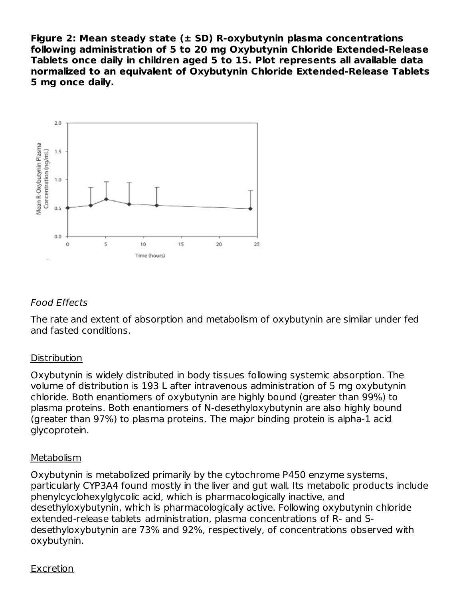**Figure 2: Mean steady state (± SD) R-oxybutynin plasma concentrations following administration of 5 to 20 mg Oxybutynin Chloride Extended-Release Tablets once daily in children aged 5 to 15. Plot represents all available data normalized to an equivalent of Oxybutynin Chloride Extended-Release Tablets 5 mg once daily.**



# Food Effects

The rate and extent of absorption and metabolism of oxybutynin are similar under fed and fasted conditions.

### **Distribution**

Oxybutynin is widely distributed in body tissues following systemic absorption. The volume of distribution is 193 L after intravenous administration of 5 mg oxybutynin chloride. Both enantiomers of oxybutynin are highly bound (greater than 99%) to plasma proteins. Both enantiomers of N-desethyloxybutynin are also highly bound (greater than 97%) to plasma proteins. The major binding protein is alpha-1 acid glycoprotein.

### Metabolism

Oxybutynin is metabolized primarily by the cytochrome P450 enzyme systems, particularly CYP3A4 found mostly in the liver and gut wall. Its metabolic products include phenylcyclohexylglycolic acid, which is pharmacologically inactive, and desethyloxybutynin, which is pharmacologically active. Following oxybutynin chloride extended-release tablets administration, plasma concentrations of R- and Sdesethyloxybutynin are 73% and 92%, respectively, of concentrations observed with oxybutynin.

### Excretion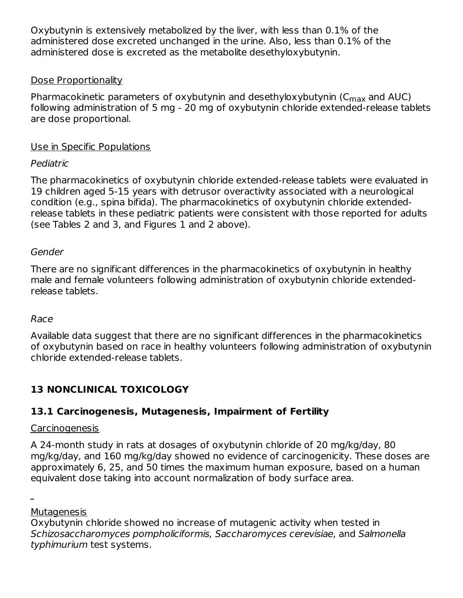Oxybutynin is extensively metabolized by the liver, with less than 0.1% of the administered dose excreted unchanged in the urine. Also, less than 0.1% of the administered dose is excreted as the metabolite desethyloxybutynin.

## Dose Proportionality

Pharmacokinetic parameters of oxybutynin and desethyloxybutynin (C<sub>max</sub> and AUC) following administration of 5 mg - 20 mg of oxybutynin chloride extended-release tablets are dose proportional.

# Use in Specific Populations

# Pediatric

The pharmacokinetics of oxybutynin chloride extended-release tablets were evaluated in 19 children aged 5-15 years with detrusor overactivity associated with a neurological condition (e.g., spina bifida). The pharmacokinetics of oxybutynin chloride extendedrelease tablets in these pediatric patients were consistent with those reported for adults (see Tables 2 and 3, and Figures 1 and 2 above).

### Gender

There are no significant differences in the pharmacokinetics of oxybutynin in healthy male and female volunteers following administration of oxybutynin chloride extendedrelease tablets.

### Race

Available data suggest that there are no significant differences in the pharmacokinetics of oxybutynin based on race in healthy volunteers following administration of oxybutynin chloride extended-release tablets.

# **13 NONCLINICAL TOXICOLOGY**

# **13.1 Carcinogenesis, Mutagenesis, Impairment of Fertility**

#### Carcinogenesis

A 24-month study in rats at dosages of oxybutynin chloride of 20 mg/kg/day, 80 mg/kg/day, and 160 mg/kg/day showed no evidence of carcinogenicity. These doses are approximately 6, 25, and 50 times the maximum human exposure, based on a human equivalent dose taking into account normalization of body surface area.

**Mutagenesis** 

Oxybutynin chloride showed no increase of mutagenic activity when tested in Schizosaccharomyces pompholiciformis, Saccharomyces cerevisiae, and Salmonella typhimurium test systems.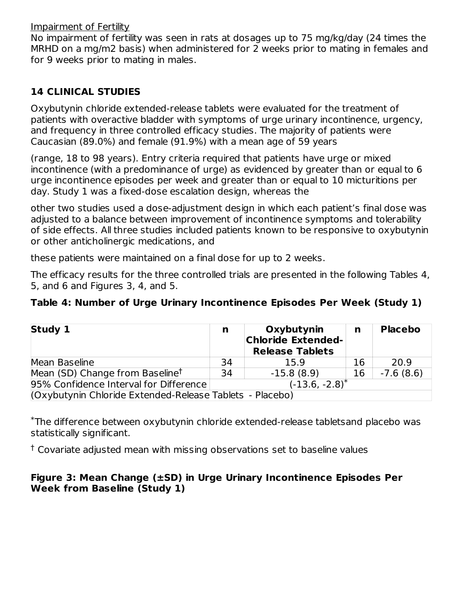Impairment of Fertility

No impairment of fertility was seen in rats at dosages up to 75 mg/kg/day (24 times the MRHD on a mg/m2 basis) when administered for 2 weeks prior to mating in females and for 9 weeks prior to mating in males.

# **14 CLINICAL STUDIES**

Oxybutynin chloride extended-release tablets were evaluated for the treatment of patients with overactive bladder with symptoms of urge urinary incontinence, urgency, and frequency in three controlled efficacy studies. The majority of patients were Caucasian (89.0%) and female (91.9%) with a mean age of 59 years

(range, 18 to 98 years). Entry criteria required that patients have urge or mixed incontinence (with a predominance of urge) as evidenced by greater than or equal to 6 urge incontinence episodes per week and greater than or equal to 10 micturitions per day. Study 1 was a fixed-dose escalation design, whereas the

other two studies used a dose-adjustment design in which each patient's final dose was adjusted to a balance between improvement of incontinence symptoms and tolerability of side effects. All three studies included patients known to be responsive to oxybutynin or other anticholinergic medications, and

these patients were maintained on a final dose for up to 2 weeks.

The efficacy results for the three controlled trials are presented in the following Tables 4, 5, and 6 and Figures 3, 4, and 5.

# **Table 4: Number of Urge Urinary Incontinence Episodes Per Week (Study 1)**

| Study 1                                                  | n                   | Oxybutynin<br><b>Chloride Extended-</b><br><b>Release Tablets</b> | n  | <b>Placebo</b> |  |
|----------------------------------------------------------|---------------------|-------------------------------------------------------------------|----|----------------|--|
| Mean Baseline                                            | 34                  | 15.9                                                              | 16 | 20.9           |  |
| Mean (SD) Change from Baseline <sup>t</sup>              | 34                  | $-15.8(8.9)$                                                      | 16 | $-7.6(8.6)$    |  |
| 95% Confidence Interval for Difference                   | $(-13.6, -2.8)^{*}$ |                                                                   |    |                |  |
| (Oxybutynin Chloride Extended-Release Tablets - Placebo) |                     |                                                                   |    |                |  |

The difference between oxybutynin chloride extended-release tabletsand placebo was \* statistically significant.

 $^\dagger$  Covariate adjusted mean with missing observations set to baseline values

# **Figure 3: Mean Change (±SD) in Urge Urinary Incontinence Episodes Per Week from Baseline (Study 1)**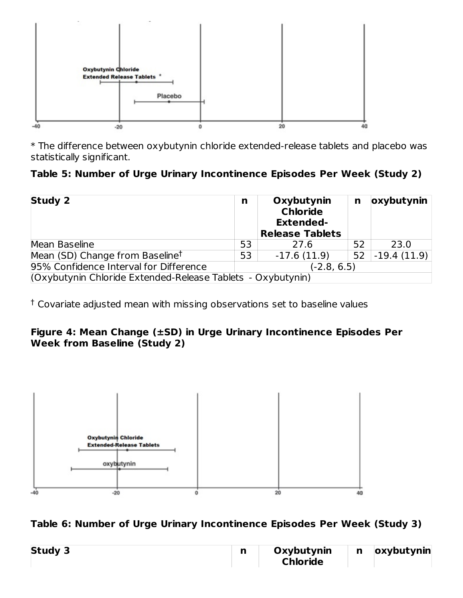

\* The difference between oxybutynin chloride extended-release tablets and placebo was statistically significant.

# **Table 5: Number of Urge Urinary Incontinence Episodes Per Week (Study 2)**

| <b>Study 2</b>                                              | n             | Oxybutynin<br><b>Chloride</b><br><b>Extended-</b><br><b>Release Tablets</b> | n  | oxybutynin    |  |
|-------------------------------------------------------------|---------------|-----------------------------------------------------------------------------|----|---------------|--|
| Mean Baseline                                               | 53            | 27.6                                                                        | 52 | 23.0          |  |
| Mean (SD) Change from Baseline <sup>t</sup>                 | 53            | $-17.6(11.9)$                                                               | 52 | $-19.4(11.9)$ |  |
| 95% Confidence Interval for Difference                      | $(-2.8, 6.5)$ |                                                                             |    |               |  |
| (Oxybutynin Chloride Extended-Release Tablets - Oxybutynin) |               |                                                                             |    |               |  |

 $^\dagger$  Covariate adjusted mean with missing observations set to baseline values

# **Figure 4: Mean Change (±SD) in Urge Urinary Incontinence Episodes Per Week from Baseline (Study 2)**



# **Table 6: Number of Urge Urinary Incontinence Episodes Per Week (Study 3)**

| <b>Study 3</b> | --<br>. . | Oxybutynin      | n | oxybutynin |
|----------------|-----------|-----------------|---|------------|
|                |           | <b>Chloride</b> |   |            |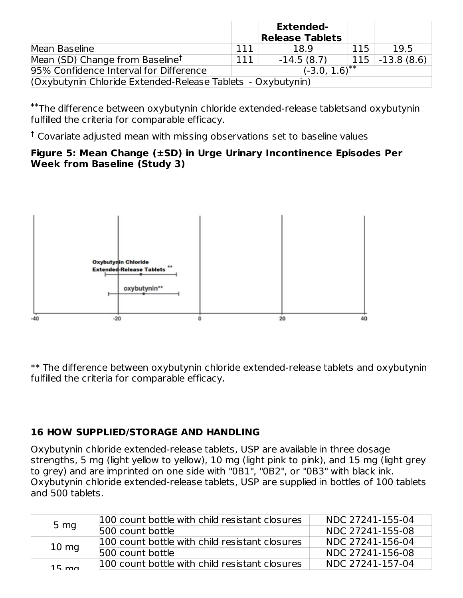|                                                                         |     | <b>Extended-</b><br><b>Release Tablets</b> |     |                   |
|-------------------------------------------------------------------------|-----|--------------------------------------------|-----|-------------------|
| Mean Baseline                                                           | 111 | 18.9                                       | 115 | 19.5              |
| Mean (SD) Change from Baseline <sup>†</sup>                             | 111 | $-14.5(8.7)$                               |     | $115$ -13.8 (8.6) |
| $(-3.0, 1.\overline{6})^{**}$<br>95% Confidence Interval for Difference |     |                                            |     |                   |
| (Oxybutynin Chloride Extended-Release Tablets - Oxybutynin)             |     |                                            |     |                   |

The difference between oxybutynin chloride extended-release tabletsand oxybutynin \*\* fulfilled the criteria for comparable efficacy.

 $^\dagger$  Covariate adjusted mean with missing observations set to baseline values

## **Figure 5: Mean Change (±SD) in Urge Urinary Incontinence Episodes Per Week from Baseline (Study 3)**



\*\* The difference between oxybutynin chloride extended-release tablets and oxybutynin fulfilled the criteria for comparable efficacy.

# **16 HOW SUPPLIED/STORAGE AND HANDLING**

Oxybutynin chloride extended-release tablets, USP are available in three dosage strengths, 5 mg (light yellow to yellow), 10 mg (light pink to pink), and 15 mg (light grey to grey) and are imprinted on one side with "0B1", "0B2", or "0B3" with black ink. Oxybutynin chloride extended-release tablets, USP are supplied in bottles of 100 tablets and 500 tablets.

| 5 <sub>mg</sub> | 100 count bottle with child resistant closures | NDC 27241-155-04 |
|-----------------|------------------------------------------------|------------------|
|                 | 500 count bottle                               | NDC 27241-155-08 |
| $10 \text{ mg}$ | 100 count bottle with child resistant closures | NDC 27241-156-04 |
|                 | 500 count bottle                               | NDC 27241-156-08 |
| $15 \text{ ma}$ | 100 count bottle with child resistant closures | NDC 27241-157-04 |
|                 |                                                |                  |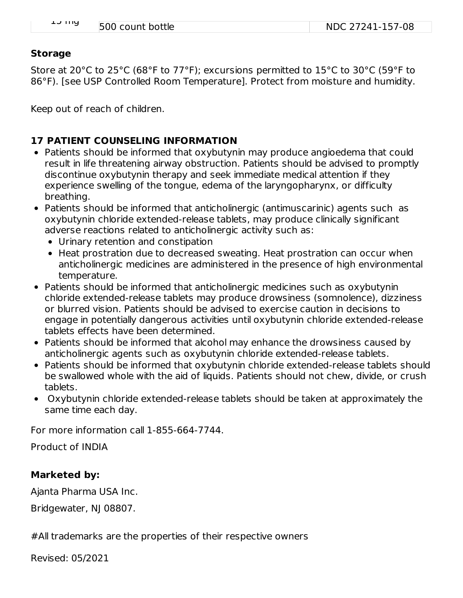| <b>LJ IIIY</b> | 500 count bottle | NDC 27241-157-08 |
|----------------|------------------|------------------|

#### **Storage**

Store at 20°C to 25°C (68°F to 77°F); excursions permitted to 15°C to 30°C (59°F to 86°F). [see USP Controlled Room Temperature]. Protect from moisture and humidity.

Keep out of reach of children.

### **17 PATIENT COUNSELING INFORMATION**

- Patients should be informed that oxybutynin may produce angioedema that could result in life threatening airway obstruction. Patients should be advised to promptly discontinue oxybutynin therapy and seek immediate medical attention if they experience swelling of the tongue, edema of the laryngopharynx, or difficulty breathing.
- Patients should be informed that anticholinergic (antimuscarinic) agents such as oxybutynin chloride extended-release tablets, may produce clinically significant adverse reactions related to anticholinergic activity such as:
	- Urinary retention and constipation
	- Heat prostration due to decreased sweating. Heat prostration can occur when anticholinergic medicines are administered in the presence of high environmental temperature.
- Patients should be informed that anticholinergic medicines such as oxybutynin chloride extended-release tablets may produce drowsiness (somnolence), dizziness or blurred vision. Patients should be advised to exercise caution in decisions to engage in potentially dangerous activities until oxybutynin chloride extended-release tablets effects have been determined.
- Patients should be informed that alcohol may enhance the drowsiness caused by anticholinergic agents such as oxybutynin chloride extended-release tablets.
- Patients should be informed that oxybutynin chloride extended-release tablets should be swallowed whole with the aid of liquids. Patients should not chew, divide, or crush tablets.
- Oxybutynin chloride extended-release tablets should be taken at approximately the same time each day.

For more information call 1-855-664-7744.

Product of INDIA

### **Marketed by:**

Ajanta Pharma USA Inc.

Bridgewater, NJ 08807.

#All trademarks are the properties of their respective owners

Revised: 05/2021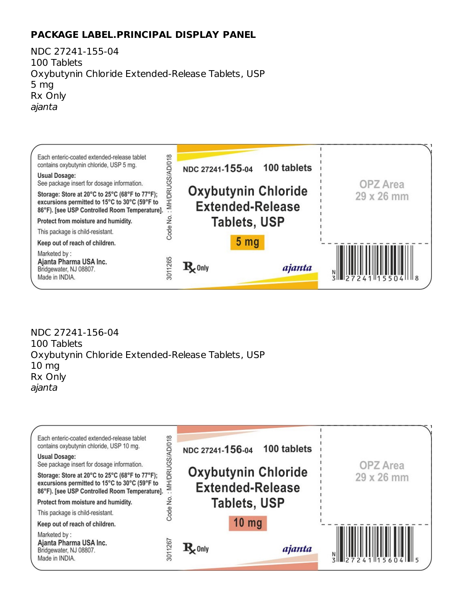# **PACKAGE LABEL.PRINCIPAL DISPLAY PANEL**

NDC 27241-155-04 100 Tablets Oxybutynin Chloride Extended-Release Tablets, USP 5 mg Rx Only ajanta

| Each enteric-coated extended-release tablet<br>/018<br>contains oxybutynin chloride, USP 5 mg.<br><b>Usual Dosage:</b><br>See package insert for dosage information.<br><b>VIH/DRU</b><br>Storage: Store at 20°C to 25°C (68°F to 77°F);<br>excursions permitted to 15°C to 30°C (59°F to<br>86°F). [see USP Controlled Room Temperature].<br>ž<br>Protect from moisture and humidity. | 100 tablets<br>NDC 27241-155-04<br><b>Oxybutynin Chloride</b><br><b>Extended-Release</b><br>Tablets, USP | <b>OPZ</b> Area<br>29 x 26 mm |
|----------------------------------------------------------------------------------------------------------------------------------------------------------------------------------------------------------------------------------------------------------------------------------------------------------------------------------------------------------------------------------------|----------------------------------------------------------------------------------------------------------|-------------------------------|
| Code<br>This package is child-resistant.<br>Keep out of reach of children.                                                                                                                                                                                                                                                                                                             | 5 <sub>mg</sub>                                                                                          |                               |
| Marketed by:<br>3011265<br>Ajanta Pharma USA Inc.<br>Bridgewater, NJ 08807.<br>Made in INDIA.                                                                                                                                                                                                                                                                                          | $\mathbf{R}_{\mathbf{z}}$ Only<br>ajanta                                                                 | 7241155                       |

NDC 27241-156-04 100 Tablets Oxybutynin Chloride Extended-Release Tablets, USP 10 mg Rx Only ajanta

| Each enteric-coated extended-release tablet<br>contains oxybutynin chloride, USP 10 mg.<br><b>Usual Dosage:</b><br>See package insert for dosage information.<br>Storage: Store at 20°C to 25°C (68°F to 77°F);<br>excursions permitted to 15°C to 30°C (59°F to<br>86°F). [see USP Controlled Room Temperature].<br>Protect from moisture and humidity. | D/018<br>NDC 27241-156-04<br><b>MH/DR</b><br>ž | 100 tablets<br><b>Oxybutynin Chloride</b><br><b>Extended-Release</b><br><b>Tablets, USP</b> | <b>OPZ</b> Area<br>29 x 26 mm |
|----------------------------------------------------------------------------------------------------------------------------------------------------------------------------------------------------------------------------------------------------------------------------------------------------------------------------------------------------------|------------------------------------------------|---------------------------------------------------------------------------------------------|-------------------------------|
| This package is child-resistant.<br>Keep out of reach of children.<br>Marketed by:<br>Ajanta Pharma USA Inc.<br>Bridgewater, NJ 08807.<br>Made in INDIA.                                                                                                                                                                                                 | Code<br>3011267<br>$\mathbf{R}$ Only           | $10$ mg<br>ajanta                                                                           |                               |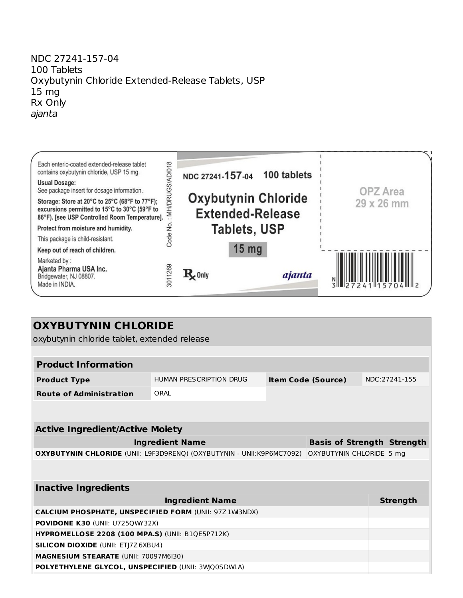#### NDC 27241-157-04 100 Tablets Oxybutynin Chloride Extended-Release Tablets, USP 15 mg Rx Only ajanta

| Each enteric-coated extended-release tablet<br>contains oxybutynin chloride, USP 15 mg.<br><b>Usual Dosage:</b><br>See package insert for dosage information.<br>Storage: Store at 20°C to 25°C (68°F to 77°F);<br>excursions permitted to 15°C to 30°C (59°F to<br>86°F). [see USP Controlled Room Temperature].<br>Protect from moisture and humidity. | D/018<br><b>MH/DR</b><br>是 | NDC 27241-157-04 100 tablets<br><b>Oxybutynin Chloride</b><br><b>Extended-Release</b><br><b>Tablets, USP</b> |        | <b>OPZ</b> Area<br>29 x 26 mm |
|----------------------------------------------------------------------------------------------------------------------------------------------------------------------------------------------------------------------------------------------------------------------------------------------------------------------------------------------------------|----------------------------|--------------------------------------------------------------------------------------------------------------|--------|-------------------------------|
| This package is child-resistant.<br>Keep out of reach of children.<br>Marketed by:<br>Ajanta Pharma USA Inc.                                                                                                                                                                                                                                             | Code                       | 15 <sub>mg</sub>                                                                                             |        |                               |
| Bridgewater, NJ 08807.<br>Made in INDIA.                                                                                                                                                                                                                                                                                                                 | 3011269                    | $\mathbf{R}$ Only                                                                                            | ajanta | 72/1115                       |

| <b>OXYBUTYNIN CHLORIDE</b> |  |
|----------------------------|--|
|----------------------------|--|

oxybutynin chloride tablet, extended release

| HUMAN PRESCRIPTION DRUG                                                                           |                                                                                                                                                                                                                                                                                                                                     |                                                           |                           | NDC:27241-155                     |
|---------------------------------------------------------------------------------------------------|-------------------------------------------------------------------------------------------------------------------------------------------------------------------------------------------------------------------------------------------------------------------------------------------------------------------------------------|-----------------------------------------------------------|---------------------------|-----------------------------------|
| ORAI                                                                                              |                                                                                                                                                                                                                                                                                                                                     |                                                           |                           |                                   |
|                                                                                                   |                                                                                                                                                                                                                                                                                                                                     |                                                           |                           |                                   |
|                                                                                                   |                                                                                                                                                                                                                                                                                                                                     |                                                           |                           |                                   |
|                                                                                                   |                                                                                                                                                                                                                                                                                                                                     |                                                           |                           |                                   |
|                                                                                                   |                                                                                                                                                                                                                                                                                                                                     |                                                           |                           |                                   |
| OXYBUTYNIN CHLORIDE (UNII: L9F3D9RENQ) (OXYBUTYNIN - UNII:K9P6MC7092)<br>OXYBUTYNIN CHLORIDE 5 mg |                                                                                                                                                                                                                                                                                                                                     |                                                           |                           |                                   |
|                                                                                                   |                                                                                                                                                                                                                                                                                                                                     |                                                           |                           |                                   |
|                                                                                                   |                                                                                                                                                                                                                                                                                                                                     |                                                           |                           |                                   |
| <b>Ingredient Name</b>                                                                            |                                                                                                                                                                                                                                                                                                                                     |                                                           |                           | <b>Strength</b>                   |
|                                                                                                   |                                                                                                                                                                                                                                                                                                                                     |                                                           |                           |                                   |
|                                                                                                   |                                                                                                                                                                                                                                                                                                                                     |                                                           |                           |                                   |
|                                                                                                   |                                                                                                                                                                                                                                                                                                                                     |                                                           |                           |                                   |
|                                                                                                   |                                                                                                                                                                                                                                                                                                                                     |                                                           |                           |                                   |
|                                                                                                   |                                                                                                                                                                                                                                                                                                                                     |                                                           |                           |                                   |
|                                                                                                   |                                                                                                                                                                                                                                                                                                                                     |                                                           |                           |                                   |
|                                                                                                   | <b>Active Ingredient/Active Moiety</b><br><b>Ingredient Name</b><br><b>CALCIUM PHOSPHATE, UNSPECIFIED FORM (UNII: 97Z 1W3NDX)</b><br><b>POVIDONE K30 (UNII: U7250WY32X)</b><br><b>HYPROMELLOSE 2208 (100 MPA.S) (UNII: B1QE5P712K)</b><br><b>SILICON DIOXIDE (UNII: ETJ7Z6XBU4)</b><br><b>MAGNESIUM STEARATE (UNII: 70097M6I30)</b> | <b>POLYETHYLENE GLYCOL, UNSPECIFIED (UNII: 3WQ0SDWIA)</b> | <b>Item Code (Source)</b> | <b>Basis of Strength Strength</b> |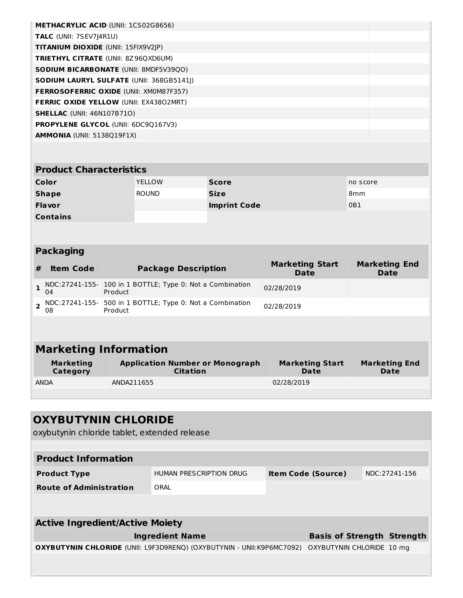| <b>METHACRYLIC ACID (UNII: 1CS02G8656)</b>      |  |
|-------------------------------------------------|--|
| <b>TALC</b> (UNII: 7SEV7 4R1U)                  |  |
| <b>TITANIUM DIOXIDE (UNII: 15FIX9V2IP)</b>      |  |
| <b>TRIETHYL CITRATE (UNII: 8Z96QXD6UM)</b>      |  |
| <b>SODIUM BICARBONATE (UNII: 8MDF5V39QO)</b>    |  |
| <b>SODIUM LAURYL SULFATE (UNII: 368GB5141I)</b> |  |
| <b>FERROSOFERRIC OXIDE (UNII: XMOM87F357)</b>   |  |
| <b>FERRIC OXIDE YELLOW (UNII: EX43802MRT)</b>   |  |
| <b>SHELLAC</b> (UNII: 46N107B71O)               |  |
| <b>PROPYLENE GLYCOL (UNII: 6DC90167V3)</b>      |  |
| <b>AMMONIA (UNII: 5138019F1X)</b>               |  |
|                                                 |  |

# **Product Characteristics**

| Color           | <b>YELLOW</b> | <b>Score</b>        | no score        |
|-----------------|---------------|---------------------|-----------------|
| <b>Shape</b>    | <b>ROUND</b>  | <b>Size</b>         | 8 <sub>mm</sub> |
| <b>Flavor</b>   |               | <b>Imprint Code</b> | 0B1             |
| <b>Contains</b> |               |                     |                 |

# **Packaging**

| <b>Item Code</b> | <b>Package Description</b>                                                         | <b>Marketing Start</b><br><b>Date</b> | <b>Marketing End</b><br>Date |
|------------------|------------------------------------------------------------------------------------|---------------------------------------|------------------------------|
| 04               | $\frac{1}{1}$ NDC:27241-155- 100 in 1 BOTTLE; Type 0: Not a Combination<br>Product | 02/28/2019                            |                              |
| 08               | $\sigma$ NDC:27241-155- 500 in 1 BOTTLE; Type 0: Not a Combination<br>Product      | 02/28/2019                            |                              |

# **Marketing Information**

| <b>Marketing</b> | <b>Application Number or Monograph</b> | <b>Marketing Start</b> | <b>Marketing End</b> |
|------------------|----------------------------------------|------------------------|----------------------|
| Category         | <b>Citation</b>                        | Date                   | <b>Date</b>          |
| <b>ANDA</b>      | ANDA211655                             | 02/28/2019             |                      |

| <b>OXYBUTYNIN CHLORIDE</b><br>oxybutynin chloride tablet, extended release   |                         |                                   |               |
|------------------------------------------------------------------------------|-------------------------|-----------------------------------|---------------|
| <b>Product Information</b>                                                   |                         |                                   |               |
| <b>Product Type</b>                                                          | HUMAN PRESCRIPTION DRUG | <b>Item Code (Source)</b>         | NDC:27241-156 |
| <b>Route of Administration</b>                                               | ORAL                    |                                   |               |
|                                                                              |                         |                                   |               |
| <b>Active Ingredient/Active Moiety</b>                                       |                         |                                   |               |
|                                                                              | <b>Ingredient Name</b>  | <b>Basis of Strength Strength</b> |               |
| <b>OXYBUTYNIN CHLORIDE</b> (UNII: L9F3D9RENQ) (OXYBUTYNIN - UNII:K9P6MC7092) |                         | OXYBUTYNIN CHLORIDE 10 mg         |               |
|                                                                              |                         |                                   |               |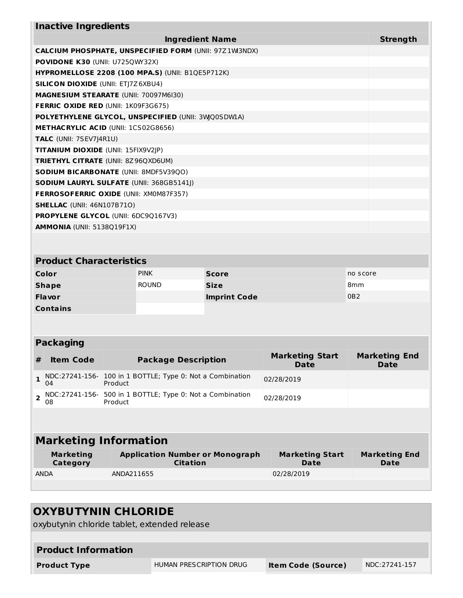| <b>Inactive Ingredients</b>                               |                 |  |  |  |
|-----------------------------------------------------------|-----------------|--|--|--|
| <b>Ingredient Name</b>                                    | <b>Strength</b> |  |  |  |
| CALCIUM PHOSPHATE, UNSPECIFIED FORM (UNII: 97Z1W3NDX)     |                 |  |  |  |
| <b>POVIDONE K30 (UNII: U725QWY32X)</b>                    |                 |  |  |  |
| <b>HYPROMELLOSE 2208 (100 MPA.S) (UNII: B1QE5P712K)</b>   |                 |  |  |  |
| <b>SILICON DIOXIDE (UNII: ETJ7Z6XBU4)</b>                 |                 |  |  |  |
| <b>MAGNESIUM STEARATE (UNII: 70097M6I30)</b>              |                 |  |  |  |
| <b>FERRIC OXIDE RED (UNII: 1K09F3G675)</b>                |                 |  |  |  |
| <b>POLYETHYLENE GLYCOL, UNSPECIFIED (UNII: 3WQ0SDWIA)</b> |                 |  |  |  |
| <b>METHACRYLIC ACID (UNII: 1CS02G8656)</b>                |                 |  |  |  |
| TALC (UNII: 7SEV7J4R1U)                                   |                 |  |  |  |
| <b>TITANIUM DIOXIDE (UNII: 15FIX9V2JP)</b>                |                 |  |  |  |
| <b>TRIETHYL CITRATE (UNII: 8Z96QXD6UM)</b>                |                 |  |  |  |
| <b>SODIUM BICARBONATE (UNII: 8MDF5V39QO)</b>              |                 |  |  |  |
| <b>SODIUM LAURYL SULFATE (UNII: 368GB5141J)</b>           |                 |  |  |  |
| <b>FERROSOFERRIC OXIDE (UNII: XM0M87F357)</b>             |                 |  |  |  |
| <b>SHELLAC (UNII: 46N107B710)</b>                         |                 |  |  |  |
| <b>PROPYLENE GLYCOL (UNII: 6DC9Q167V3)</b>                |                 |  |  |  |
| <b>AMMONIA</b> (UNII: 5138Q19F1X)                         |                 |  |  |  |

#### **Product Characteristics Color Color PINK Score Score PINK Score PINK Score PINK Score PINK Shape** ROUND **Size** 8mm **Flavor Imprint Code** 0B2 **Contains**

#### **Packaging**

| # | <b>Item Code</b> | <b>Package Description</b>                                               | <b>Marketing Start</b><br><b>Date</b> | <b>Marketing End</b><br>Date |
|---|------------------|--------------------------------------------------------------------------|---------------------------------------|------------------------------|
|   | 04               | $1$ NDC:27241-156- 100 in 1 BOTTLE; Type 0: Not a Combination<br>Product | 02/28/2019                            |                              |
|   | 08               | 2 NDC:27241-156- 500 in 1 BOTTLE; Type 0: Not a Combination<br>Product   | 02/28/2019                            |                              |

# **Marketing Information**

| Marketing   | <b>Application Number or Monograph</b> | <b>Marketing Start</b> | <b>Marketing End</b> |
|-------------|----------------------------------------|------------------------|----------------------|
| Category    | <b>Citation</b>                        | Date                   | Date                 |
| <b>ANDA</b> | ANDA211655                             | 02/28/2019             |                      |

# **OXYBUTYNIN CHLORIDE** oxybutynin chloride tablet, extended release **Product Information Product Type** HUMAN PRESCRIPTION DRUG **Item Code (Source)** NDC:27241-157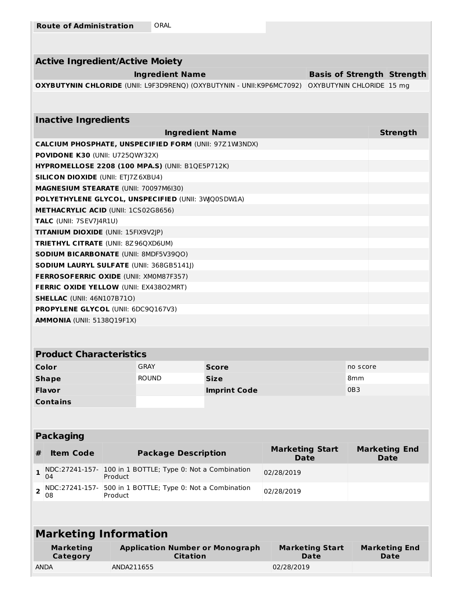| <b>Active Ingredient/Active Moiety</b>                                       |                                   |                 |
|------------------------------------------------------------------------------|-----------------------------------|-----------------|
| <b>Ingredient Name</b>                                                       | <b>Basis of Strength Strength</b> |                 |
| <b>OXYBUTYNIN CHLORIDE</b> (UNII: L9F3D9RENQ) (OXYBUTYNIN - UNII:K9P6MC7092) | OXYBUTYNIN CHLORIDE 15 mg         |                 |
|                                                                              |                                   |                 |
|                                                                              |                                   |                 |
| <b>Inactive Ingredients</b>                                                  |                                   |                 |
| <b>Ingredient Name</b>                                                       |                                   | <b>Strength</b> |
| <b>CALCIUM PHOSPHATE, UNSPECIFIED FORM (UNII: 97Z 1W3NDX)</b>                |                                   |                 |
| <b>POVIDONE K30 (UNII: U725QWY32X)</b>                                       |                                   |                 |
| <b>HYPROMELLOSE 2208 (100 MPA.S) (UNII: B1QE5P712K)</b>                      |                                   |                 |
| <b>SILICON DIOXIDE (UNII: ETI7Z6XBU4)</b>                                    |                                   |                 |
| <b>MAGNESIUM STEARATE (UNII: 70097M6I30)</b>                                 |                                   |                 |
| POLYETHYLENE GLYCOL, UNSPECIFIED (UNII: 3WO0SDW1A)                           |                                   |                 |
| <b>METHACRYLIC ACID (UNII: 1CS02G8656)</b>                                   |                                   |                 |
| <b>TALC</b> (UNII: 7SEV7J4R1U)                                               |                                   |                 |
| <b>TITANIUM DIOXIDE (UNII: 15FIX9V2JP)</b>                                   |                                   |                 |
| <b>TRIETHYL CITRATE (UNII: 8Z96QXD6UM)</b>                                   |                                   |                 |
| <b>SODIUM BICARBONATE (UNII: 8MDF5V39QO)</b>                                 |                                   |                 |
| <b>SODIUM LAURYL SULFATE (UNII: 368GB5141I)</b>                              |                                   |                 |
| <b>FERROSOFERRIC OXIDE (UNII: XMOM87F357)</b>                                |                                   |                 |
| <b>FERRIC OXIDE YELLOW (UNII: EX43802MRT)</b>                                |                                   |                 |
| <b>SHELLAC</b> (UNII: 46N107B71O)                                            |                                   |                 |
| <b>PROPYLENE GLYCOL (UNII: 6DC90167V3)</b>                                   |                                   |                 |
| <b>AMMONIA (UNII: 5138019F1X)</b>                                            |                                   |                 |
|                                                                              |                                   |                 |

# **Product Characteristics**

| Color           | <b>GRAY</b>  | <b>Score</b>        | no score        |
|-----------------|--------------|---------------------|-----------------|
| <b>Shape</b>    | <b>ROUND</b> | <b>Size</b>         | 8mm             |
| <b>Flavor</b>   |              | <b>Imprint Code</b> | 0B <sub>3</sub> |
| <b>Contains</b> |              |                     |                 |

#### **Packaging**

| <b>Item Code</b> | <b>Package Description</b>                                                         | <b>Marketing Start</b><br>Date | <b>Marketing End</b><br><b>Date</b> |
|------------------|------------------------------------------------------------------------------------|--------------------------------|-------------------------------------|
| 04               | $\frac{1}{1}$ NDC:27241-157- 100 in 1 BOTTLE; Type 0: Not a Combination<br>Product | 02/28/2019                     |                                     |
| 08               | NDC:27241-157- 500 in 1 BOTTLE; Type 0: Not a Combination<br>Product               | 02/28/2019                     |                                     |

| <b>Marketing Information</b> |                                                           |                                |                              |
|------------------------------|-----------------------------------------------------------|--------------------------------|------------------------------|
| <b>Marketing</b><br>Category | <b>Application Number or Monograph</b><br><b>Citation</b> | <b>Marketing Start</b><br>Date | <b>Marketing End</b><br>Date |
| <b>ANDA</b>                  | ANDA211655                                                | 02/28/2019                     |                              |